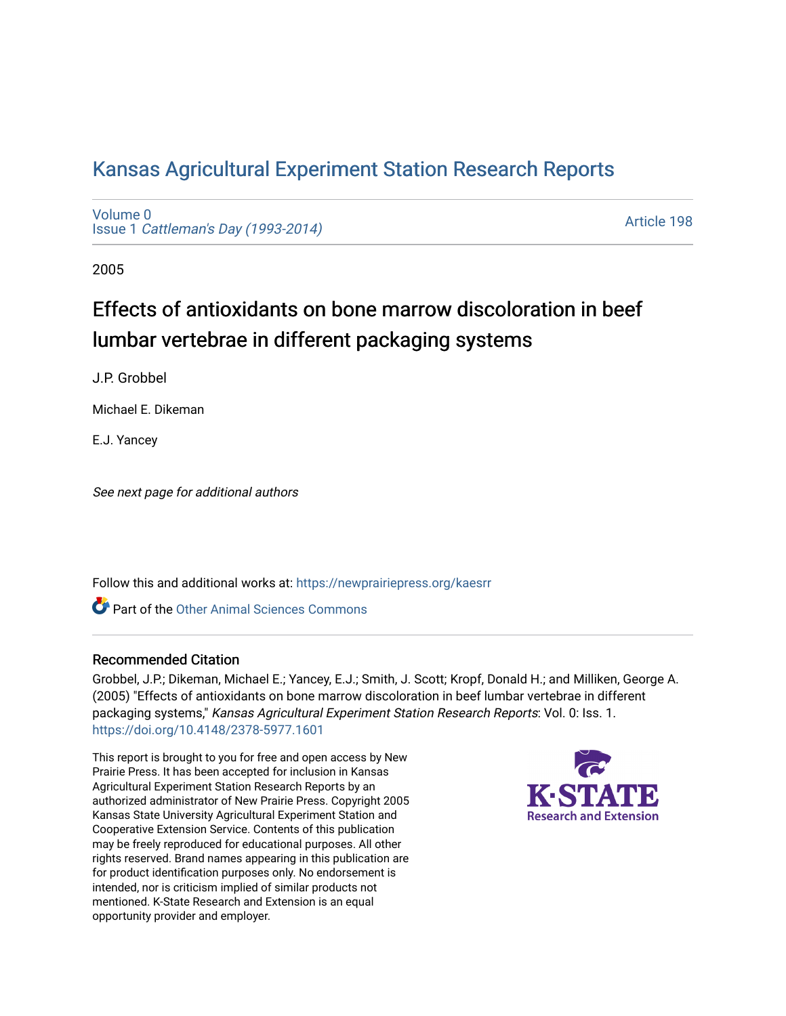# [Kansas Agricultural Experiment Station Research Reports](https://newprairiepress.org/kaesrr)

[Volume 0](https://newprairiepress.org/kaesrr/vol0) Issue 1 [Cattleman's Day \(1993-2014\)](https://newprairiepress.org/kaesrr/vol0/iss1) 

[Article 198](https://newprairiepress.org/kaesrr/vol0/iss1/198) 

2005

# Effects of antioxidants on bone marrow discoloration in beef lumbar vertebrae in different packaging systems

J.P. Grobbel

Michael E. Dikeman

E.J. Yancey

See next page for additional authors

Follow this and additional works at: [https://newprairiepress.org/kaesrr](https://newprairiepress.org/kaesrr?utm_source=newprairiepress.org%2Fkaesrr%2Fvol0%2Fiss1%2F198&utm_medium=PDF&utm_campaign=PDFCoverPages) 

**C** Part of the [Other Animal Sciences Commons](http://network.bepress.com/hgg/discipline/82?utm_source=newprairiepress.org%2Fkaesrr%2Fvol0%2Fiss1%2F198&utm_medium=PDF&utm_campaign=PDFCoverPages)

#### Recommended Citation

Grobbel, J.P.; Dikeman, Michael E.; Yancey, E.J.; Smith, J. Scott; Kropf, Donald H.; and Milliken, George A. (2005) "Effects of antioxidants on bone marrow discoloration in beef lumbar vertebrae in different packaging systems," Kansas Agricultural Experiment Station Research Reports: Vol. 0: Iss. 1. <https://doi.org/10.4148/2378-5977.1601>

This report is brought to you for free and open access by New Prairie Press. It has been accepted for inclusion in Kansas Agricultural Experiment Station Research Reports by an authorized administrator of New Prairie Press. Copyright 2005 Kansas State University Agricultural Experiment Station and Cooperative Extension Service. Contents of this publication may be freely reproduced for educational purposes. All other rights reserved. Brand names appearing in this publication are for product identification purposes only. No endorsement is intended, nor is criticism implied of similar products not mentioned. K-State Research and Extension is an equal opportunity provider and employer.

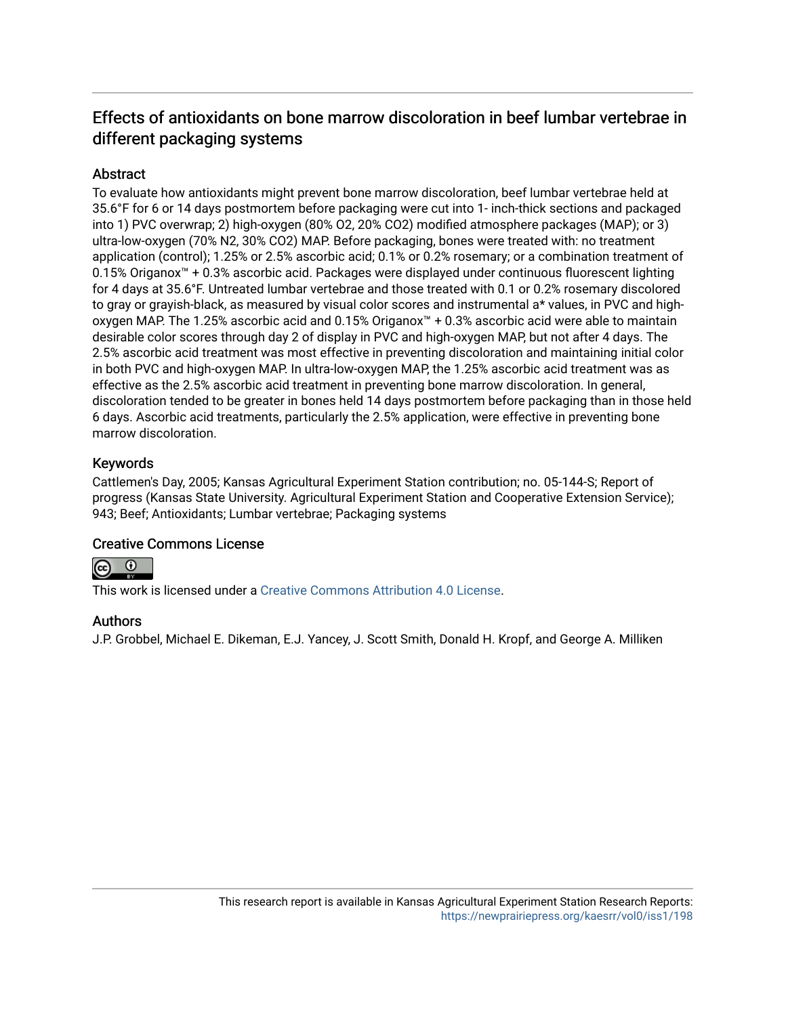# Effects of antioxidants on bone marrow discoloration in beef lumbar vertebrae in different packaging systems

# **Abstract**

To evaluate how antioxidants might prevent bone marrow discoloration, beef lumbar vertebrae held at 35.6°F for 6 or 14 days postmortem before packaging were cut into 1- inch-thick sections and packaged into 1) PVC overwrap; 2) high-oxygen (80% O2, 20% CO2) modified atmosphere packages (MAP); or 3) ultra-low-oxygen (70% N2, 30% CO2) MAP. Before packaging, bones were treated with: no treatment application (control); 1.25% or 2.5% ascorbic acid; 0.1% or 0.2% rosemary; or a combination treatment of 0.15% Origanox™ + 0.3% ascorbic acid. Packages were displayed under continuous fluorescent lighting for 4 days at 35.6°F. Untreated lumbar vertebrae and those treated with 0.1 or 0.2% rosemary discolored to gray or grayish-black, as measured by visual color scores and instrumental a\* values, in PVC and highoxygen MAP. The 1.25% ascorbic acid and 0.15% Origanox™ + 0.3% ascorbic acid were able to maintain desirable color scores through day 2 of display in PVC and high-oxygen MAP, but not after 4 days. The 2.5% ascorbic acid treatment was most effective in preventing discoloration and maintaining initial color in both PVC and high-oxygen MAP. In ultra-low-oxygen MAP, the 1.25% ascorbic acid treatment was as effective as the 2.5% ascorbic acid treatment in preventing bone marrow discoloration. In general, discoloration tended to be greater in bones held 14 days postmortem before packaging than in those held 6 days. Ascorbic acid treatments, particularly the 2.5% application, were effective in preventing bone marrow discoloration.

# Keywords

Cattlemen's Day, 2005; Kansas Agricultural Experiment Station contribution; no. 05-144-S; Report of progress (Kansas State University. Agricultural Experiment Station and Cooperative Extension Service); 943; Beef; Antioxidants; Lumbar vertebrae; Packaging systems

## Creative Commons License



This work is licensed under a [Creative Commons Attribution 4.0 License](https://creativecommons.org/licenses/by/4.0/).

## Authors

J.P. Grobbel, Michael E. Dikeman, E.J. Yancey, J. Scott Smith, Donald H. Kropf, and George A. Milliken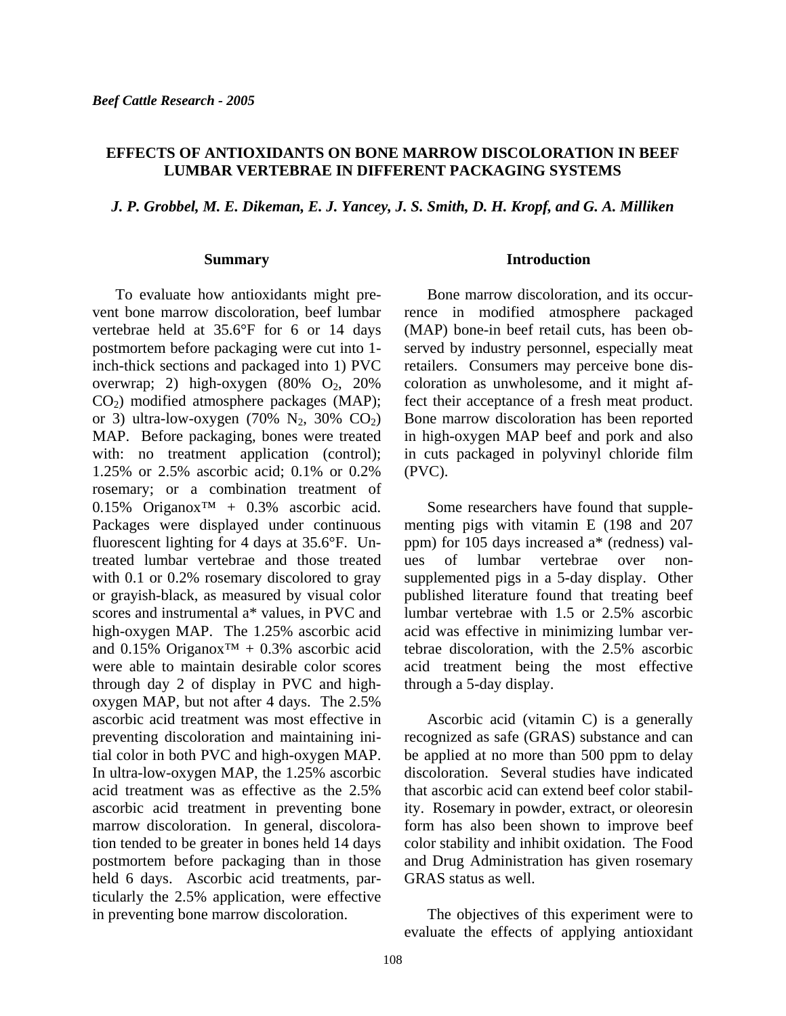### **EFFECTS OF ANTIOXIDANTS ON BONE MARROW DISCOLORATION IN BEEF LUMBAR VERTEBRAE IN DIFFERENT PACKAGING SYSTEMS**

*J. P. Grobbel, M. E. Dikeman, E. J. Yancey, J. S. Smith, D. H. Kropf, and G. A. Milliken* 

#### **Summary**

To evaluate how antioxidants might prevent bone marrow discoloration, beef lumbar vertebrae held at 35.6°F for 6 or 14 days postmortem before packaging were cut into 1 inch-thick sections and packaged into 1) PVC overwrap; 2) high-oxygen  $(80\% \text{ O}_2, 20\%)$ CO2) modified atmosphere packages (MAP); or 3) ultra-low-oxygen (70%  $N_2$ , 30%  $CO_2$ ) MAP. Before packaging, bones were treated with: no treatment application (control); 1.25% or 2.5% ascorbic acid; 0.1% or 0.2% rosemary; or a combination treatment of 0.15% Origanox<sup>™</sup> + 0.3% ascorbic acid. Packages were displayed under continuous fluorescent lighting for 4 days at 35.6°F. Untreated lumbar vertebrae and those treated with 0.1 or 0.2% rosemary discolored to gray or grayish-black, as measured by visual color scores and instrumental a\* values, in PVC and high-oxygen MAP. The 1.25% ascorbic acid and 0.15% Origanox™ + 0.3% ascorbic acid were able to maintain desirable color scores through day 2 of display in PVC and highoxygen MAP, but not after 4 days. The 2.5% ascorbic acid treatment was most effective in preventing discoloration and maintaining initial color in both PVC and high-oxygen MAP. In ultra-low-oxygen MAP, the 1.25% ascorbic acid treatment was as effective as the 2.5% ascorbic acid treatment in preventing bone marrow discoloration. In general, discoloration tended to be greater in bones held 14 days postmortem before packaging than in those held 6 days. Ascorbic acid treatments, particularly the 2.5% application, were effective in preventing bone marrow discoloration.

#### **Introduction**

Bone marrow discoloration, and its occurrence in modified atmosphere packaged (MAP) bone-in beef retail cuts, has been observed by industry personnel, especially meat retailers. Consumers may perceive bone discoloration as unwholesome, and it might affect their acceptance of a fresh meat product. Bone marrow discoloration has been reported in high-oxygen MAP beef and pork and also in cuts packaged in polyvinyl chloride film (PVC).

Some researchers have found that supplementing pigs with vitamin E (198 and 207 ppm) for 105 days increased a\* (redness) values of lumbar vertebrae over nonsupplemented pigs in a 5-day display. Other published literature found that treating beef lumbar vertebrae with 1.5 or 2.5% ascorbic acid was effective in minimizing lumbar vertebrae discoloration, with the 2.5% ascorbic acid treatment being the most effective through a 5-day display.

Ascorbic acid (vitamin C) is a generally recognized as safe (GRAS) substance and can be applied at no more than 500 ppm to delay discoloration. Several studies have indicated that ascorbic acid can extend beef color stability. Rosemary in powder, extract, or oleoresin form has also been shown to improve beef color stability and inhibit oxidation. The Food and Drug Administration has given rosemary GRAS status as well.

The objectives of this experiment were to evaluate the effects of applying antioxidant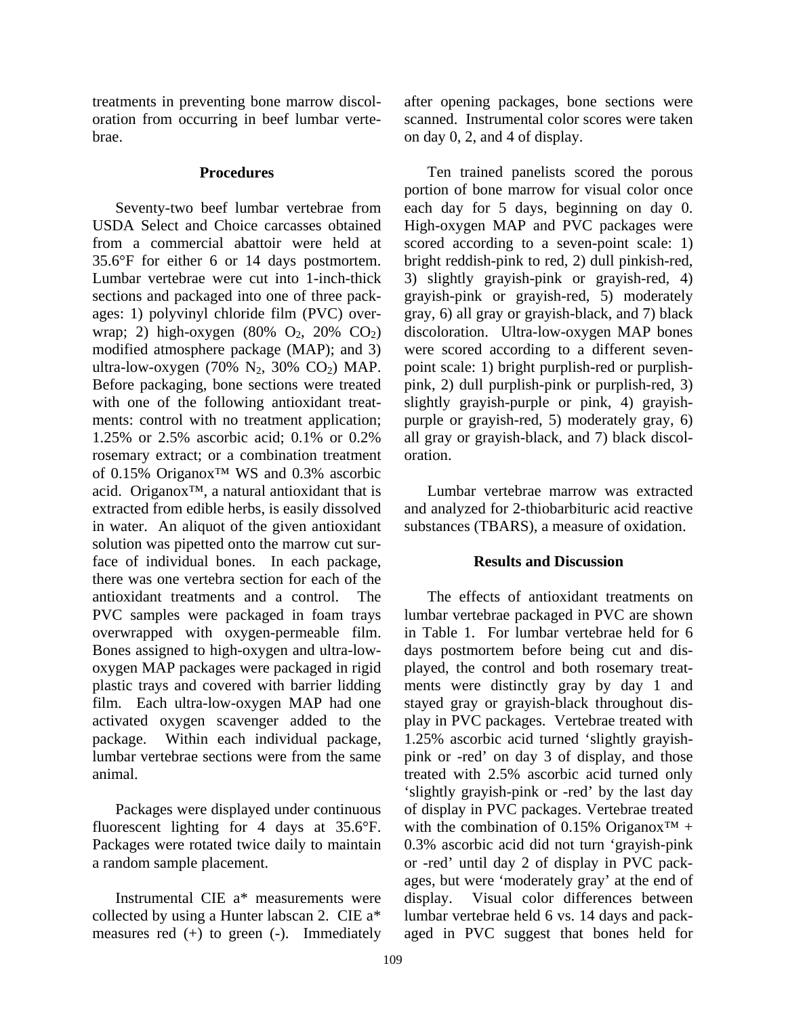treatments in preventing bone marrow discoloration from occurring in beef lumbar vertebrae.

#### **Procedures**

Seventy-two beef lumbar vertebrae from USDA Select and Choice carcasses obtained from a commercial abattoir were held at 35.6°F for either 6 or 14 days postmortem. Lumbar vertebrae were cut into 1-inch-thick sections and packaged into one of three packages: 1) polyvinyl chloride film (PVC) overwrap; 2) high-oxygen (80%  $O_2$ , 20%  $CO_2$ ) modified atmosphere package (MAP); and 3) ultra-low-oxygen (70%  $N_2$ , 30%  $CO_2$ ) MAP. Before packaging, bone sections were treated with one of the following antioxidant treatments: control with no treatment application; 1.25% or 2.5% ascorbic acid; 0.1% or 0.2% rosemary extract; or a combination treatment of 0.15% Origanox™ WS and 0.3% ascorbic acid. Origanox™, a natural antioxidant that is extracted from edible herbs, is easily dissolved in water. An aliquot of the given antioxidant solution was pipetted onto the marrow cut surface of individual bones. In each package, there was one vertebra section for each of the antioxidant treatments and a control. The PVC samples were packaged in foam trays overwrapped with oxygen-permeable film. Bones assigned to high-oxygen and ultra-lowoxygen MAP packages were packaged in rigid plastic trays and covered with barrier lidding film. Each ultra-low-oxygen MAP had one activated oxygen scavenger added to the package. Within each individual package, lumbar vertebrae sections were from the same animal.

Packages were displayed under continuous fluorescent lighting for 4 days at 35.6°F. Packages were rotated twice daily to maintain a random sample placement.

Instrumental CIE a\* measurements were collected by using a Hunter labscan 2. CIE a\* measures red (+) to green (-). Immediately after opening packages, bone sections were scanned. Instrumental color scores were taken on day 0, 2, and 4 of display.

Ten trained panelists scored the porous portion of bone marrow for visual color once each day for 5 days, beginning on day 0. High-oxygen MAP and PVC packages were scored according to a seven-point scale: 1) bright reddish-pink to red, 2) dull pinkish-red, 3) slightly grayish-pink or grayish-red, 4) grayish-pink or grayish-red, 5) moderately gray, 6) all gray or grayish-black, and 7) black discoloration. Ultra-low-oxygen MAP bones were scored according to a different sevenpoint scale: 1) bright purplish-red or purplishpink, 2) dull purplish-pink or purplish-red, 3) slightly grayish-purple or pink, 4) grayishpurple or grayish-red, 5) moderately gray, 6) all gray or grayish-black, and 7) black discoloration.

Lumbar vertebrae marrow was extracted and analyzed for 2-thiobarbituric acid reactive substances (TBARS), a measure of oxidation.

#### **Results and Discussion**

The effects of antioxidant treatments on lumbar vertebrae packaged in PVC are shown in Table 1. For lumbar vertebrae held for 6 days postmortem before being cut and displayed, the control and both rosemary treatments were distinctly gray by day 1 and stayed gray or grayish-black throughout display in PVC packages. Vertebrae treated with 1.25% ascorbic acid turned 'slightly grayishpink or -red' on day 3 of display, and those treated with 2.5% ascorbic acid turned only 'slightly grayish-pink or -red' by the last day of display in PVC packages. Vertebrae treated with the combination of 0.15% Origanox<sup>™</sup> + 0.3% ascorbic acid did not turn 'grayish-pink or -red' until day 2 of display in PVC packages, but were 'moderately gray' at the end of display. Visual color differences between lumbar vertebrae held 6 vs. 14 days and packaged in PVC suggest that bones held for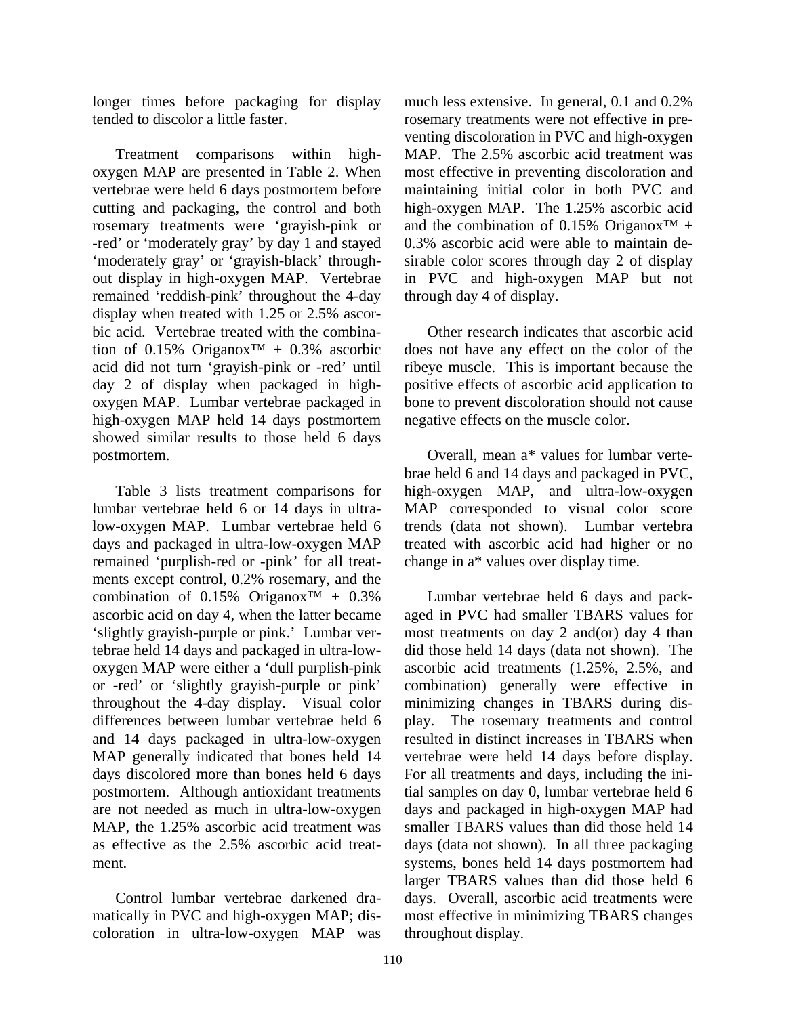longer times before packaging for display tended to discolor a little faster.

Treatment comparisons within highoxygen MAP are presented in Table 2. When vertebrae were held 6 days postmortem before cutting and packaging, the control and both rosemary treatments were 'grayish-pink or -red' or 'moderately gray' by day 1 and stayed 'moderately gray' or 'grayish-black' throughout display in high-oxygen MAP. Vertebrae remained 'reddish-pink' throughout the 4-day display when treated with 1.25 or 2.5% ascorbic acid. Vertebrae treated with the combination of 0.15% Origanox<sup>™</sup> + 0.3% ascorbic acid did not turn 'grayish-pink or -red' until day 2 of display when packaged in highoxygen MAP. Lumbar vertebrae packaged in high-oxygen MAP held 14 days postmortem showed similar results to those held 6 days postmortem.

Table 3 lists treatment comparisons for lumbar vertebrae held 6 or 14 days in ultralow-oxygen MAP. Lumbar vertebrae held 6 days and packaged in ultra-low-oxygen MAP remained 'purplish-red or -pink' for all treatments except control, 0.2% rosemary, and the combination of 0.15% Origanox<sup>™</sup> + 0.3% ascorbic acid on day 4, when the latter became 'slightly grayish-purple or pink.' Lumbar vertebrae held 14 days and packaged in ultra-lowoxygen MAP were either a 'dull purplish-pink or -red' or 'slightly grayish-purple or pink' throughout the 4-day display. Visual color differences between lumbar vertebrae held 6 and 14 days packaged in ultra-low-oxygen MAP generally indicated that bones held 14 days discolored more than bones held 6 days postmortem. Although antioxidant treatments are not needed as much in ultra-low-oxygen MAP, the 1.25% ascorbic acid treatment was as effective as the 2.5% ascorbic acid treatment.

Control lumbar vertebrae darkened dramatically in PVC and high-oxygen MAP; discoloration in ultra-low-oxygen MAP was much less extensive. In general, 0.1 and 0.2% rosemary treatments were not effective in preventing discoloration in PVC and high-oxygen MAP. The 2.5% ascorbic acid treatment was most effective in preventing discoloration and maintaining initial color in both PVC and high-oxygen MAP. The 1.25% ascorbic acid and the combination of 0.15% Origanox<sup>TM</sup> + 0.3% ascorbic acid were able to maintain desirable color scores through day 2 of display in PVC and high-oxygen MAP but not through day 4 of display.

Other research indicates that ascorbic acid does not have any effect on the color of the ribeye muscle. This is important because the positive effects of ascorbic acid application to bone to prevent discoloration should not cause negative effects on the muscle color.

Overall, mean a\* values for lumbar vertebrae held 6 and 14 days and packaged in PVC, high-oxygen MAP, and ultra-low-oxygen MAP corresponded to visual color score trends (data not shown). Lumbar vertebra treated with ascorbic acid had higher or no change in a\* values over display time.

Lumbar vertebrae held 6 days and packaged in PVC had smaller TBARS values for most treatments on day 2 and(or) day 4 than did those held 14 days (data not shown). The ascorbic acid treatments (1.25%, 2.5%, and combination) generally were effective in minimizing changes in TBARS during display. The rosemary treatments and control resulted in distinct increases in TBARS when vertebrae were held 14 days before display. For all treatments and days, including the initial samples on day 0, lumbar vertebrae held 6 days and packaged in high-oxygen MAP had smaller TBARS values than did those held 14 days (data not shown). In all three packaging systems, bones held 14 days postmortem had larger TBARS values than did those held 6 days. Overall, ascorbic acid treatments were most effective in minimizing TBARS changes throughout display.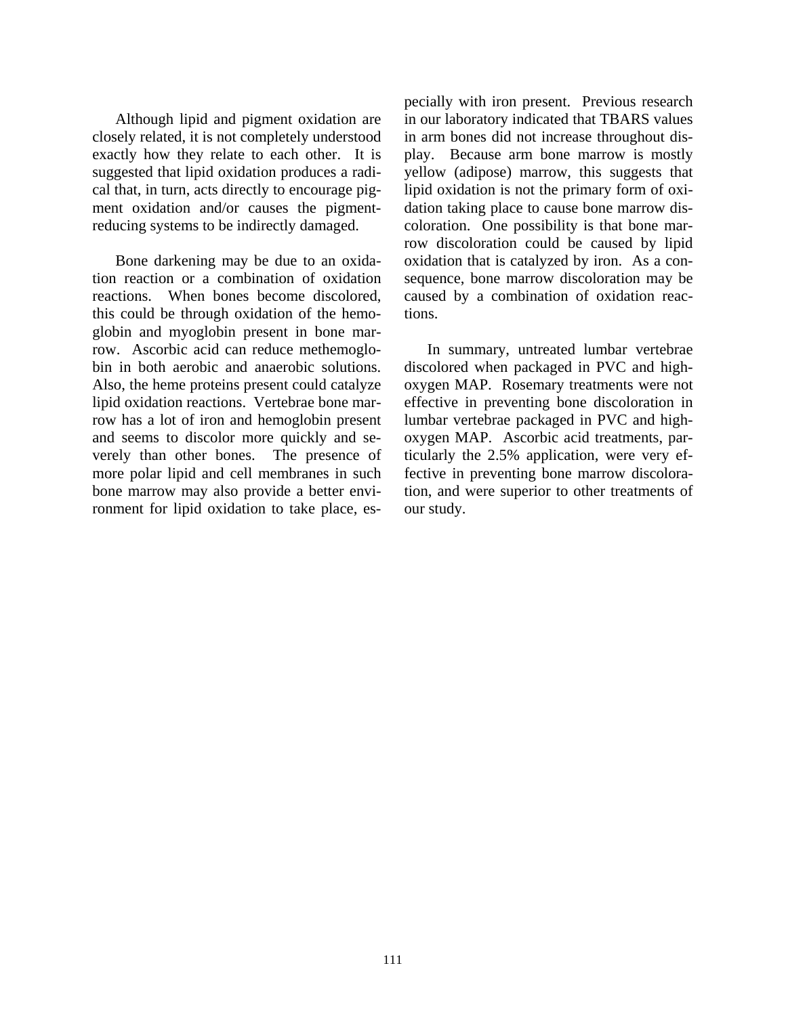Although lipid and pigment oxidation are closely related, it is not completely understood exactly how they relate to each other. It is suggested that lipid oxidation produces a radical that, in turn, acts directly to encourage pigment oxidation and/or causes the pigmentreducing systems to be indirectly damaged.

Bone darkening may be due to an oxidation reaction or a combination of oxidation reactions. When bones become discolored, this could be through oxidation of the hemoglobin and myoglobin present in bone marrow. Ascorbic acid can reduce methemoglobin in both aerobic and anaerobic solutions. Also, the heme proteins present could catalyze lipid oxidation reactions. Vertebrae bone marrow has a lot of iron and hemoglobin present and seems to discolor more quickly and severely than other bones. The presence of more polar lipid and cell membranes in such bone marrow may also provide a better environment for lipid oxidation to take place, especially with iron present. Previous research in our laboratory indicated that TBARS values in arm bones did not increase throughout display. Because arm bone marrow is mostly yellow (adipose) marrow, this suggests that lipid oxidation is not the primary form of oxidation taking place to cause bone marrow discoloration. One possibility is that bone marrow discoloration could be caused by lipid oxidation that is catalyzed by iron. As a consequence, bone marrow discoloration may be caused by a combination of oxidation reactions.

In summary, untreated lumbar vertebrae discolored when packaged in PVC and highoxygen MAP. Rosemary treatments were not effective in preventing bone discoloration in lumbar vertebrae packaged in PVC and highoxygen MAP. Ascorbic acid treatments, particularly the 2.5% application, were very effective in preventing bone marrow discoloration, and were superior to other treatments of our study.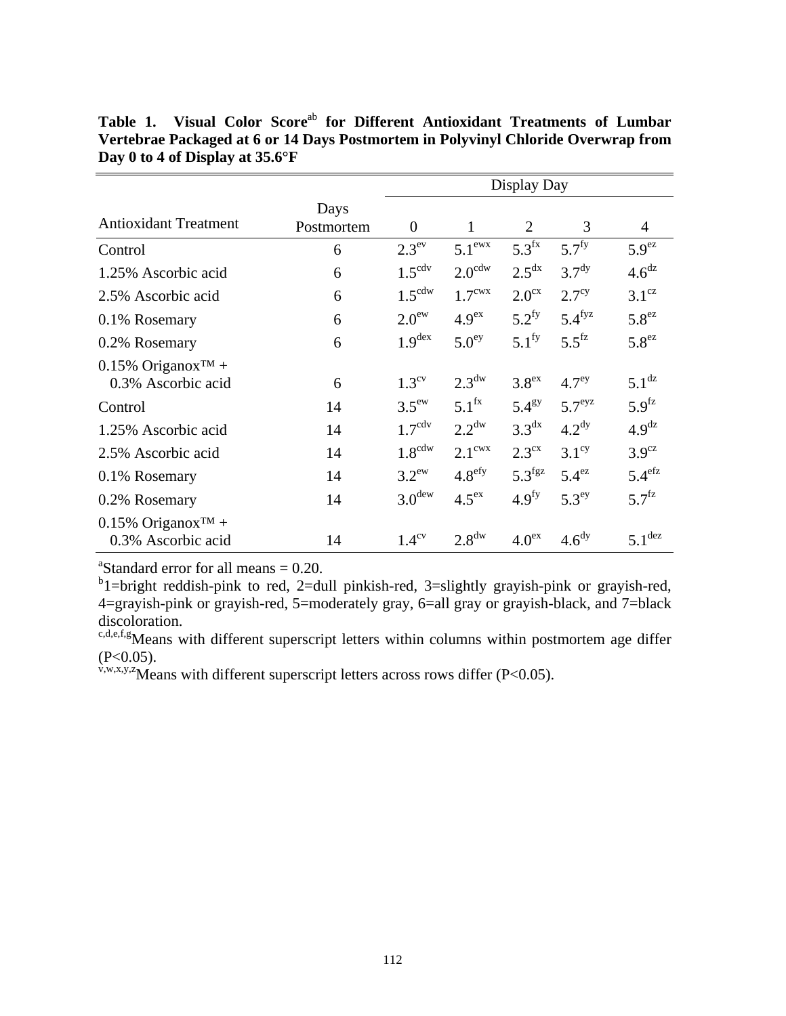|                                                         |                    | Display Day        |                    |                      |                      |                      |
|---------------------------------------------------------|--------------------|--------------------|--------------------|----------------------|----------------------|----------------------|
| <b>Antioxidant Treatment</b>                            | Days<br>Postmortem | $\overline{0}$     | $\mathbf{1}$       | $\overline{2}$       | 3                    | 4                    |
| Control                                                 | 6                  | 2.3 <sup>ev</sup>  | $5.1^{\text{ewx}}$ | 5.3 <sup>fx</sup>    | 5.7 <sup>fy</sup>    | 5.9 <sup>ez</sup>    |
| 1.25% Ascorbic acid                                     | 6                  | $1.5^{\text{cdv}}$ | $2.0^{\text{cdw}}$ | 2.5 <sup>dx</sup>    | 3.7 <sup>dy</sup>    | 4.6 <sup>dz</sup>    |
| 2.5% Ascorbic acid                                      | 6                  | $1.5^{\text{cdw}}$ | $1.7^{\text{cwx}}$ | 2.0 <sup>cx</sup>    | 2.7 <sup>cy</sup>    | $3.1^\text{cz}$      |
| 0.1% Rosemary                                           | 6                  | 2.0 <sup>ew</sup>  | 4.9 <sup>ex</sup>  | $5.2^{fy}$           | $5.4$ <sup>fyz</sup> | 5.8 <sup>ez</sup>    |
| 0.2% Rosemary                                           | 6                  | 1.9 <sup>dex</sup> | 5.0 <sup>ey</sup>  | $5.1^{\rm fy}$       | $5.5$ <sup>fz</sup>  | 5.8 <sup>ez</sup>    |
| $0.15\%$ Origanox <sup>TM</sup> +<br>0.3% Ascorbic acid | 6                  | $1.3^{\rm cv}$     | $2.3^{\text{dw}}$  | 3.8 <sup>ex</sup>    | 4.7 <sup>ey</sup>    | $5.1$ <sup>dz</sup>  |
| Control                                                 | 14                 | $3.5^{\text{ew}}$  | $5.1^{fx}$         | $5.4^\text{gy}$      | $5.7^{\mathrm{eyz}}$ | 5.9 <sup>fz</sup>    |
| 1.25% Ascorbic acid                                     | 14                 | $1.7^{\text{cdv}}$ | $2.2^{\text{dw}}$  | 3.3 <sup>dx</sup>    | 4.2 <sup>dy</sup>    | 4.9 <sup>dz</sup>    |
| 2.5% Ascorbic acid                                      | 14                 | $1.8^{\text{cdw}}$ | $2.1^{\text{cwx}}$ | 2.3 <sup>cx</sup>    | $3.1^\text{cy}$      | $3.9^\text{cz}$      |
| 0.1% Rosemary                                           | 14                 | $3.2^{\rm ew}$     | 4.8 <sup>efy</sup> | $5.3$ <sup>fgz</sup> | $5.4^{ez}$           | $5.4$ <sup>efz</sup> |
| 0.2% Rosemary                                           | 14                 | 3.0 <sup>dev</sup> | 4.5 <sup>ex</sup>  | 4.9 <sup>fy</sup>    | $5.3^{\mathrm{ey}}$  | $5.7^{fz}$           |
| $0.15\%$ Origanox <sup>TM</sup> +<br>0.3% Ascorbic acid | 14                 | $1.4^{\rm cv}$     | $2.8^{\text{dw}}$  | 4.0 <sup>ex</sup>    | 4.6 <sup>dy</sup>    | $5.1$ <sup>dez</sup> |

Table 1. Visual Color Score<sup>ab</sup> for Different Antioxidant Treatments of Lumbar **Vertebrae Packaged at 6 or 14 Days Postmortem in Polyvinyl Chloride Overwrap from Day 0 to 4 of Display at 35.6°F** 

<sup>a</sup>Standard error for all means  $= 0.20$ .

 $b^b$ 1=bright reddish-pink to red, 2=dull pinkish-red, 3=slightly grayish-pink or grayish-red, 4=grayish-pink or grayish-red, 5=moderately gray, 6=all gray or grayish-black, and 7=black discoloration.

c,d,e,f,g<sub>Means</sub> with different superscript letters within columns within postmortem age differ  $(P<0.05)$ .

 $v, w, x, y, z$  Means with different superscript letters across rows differ (P<0.05).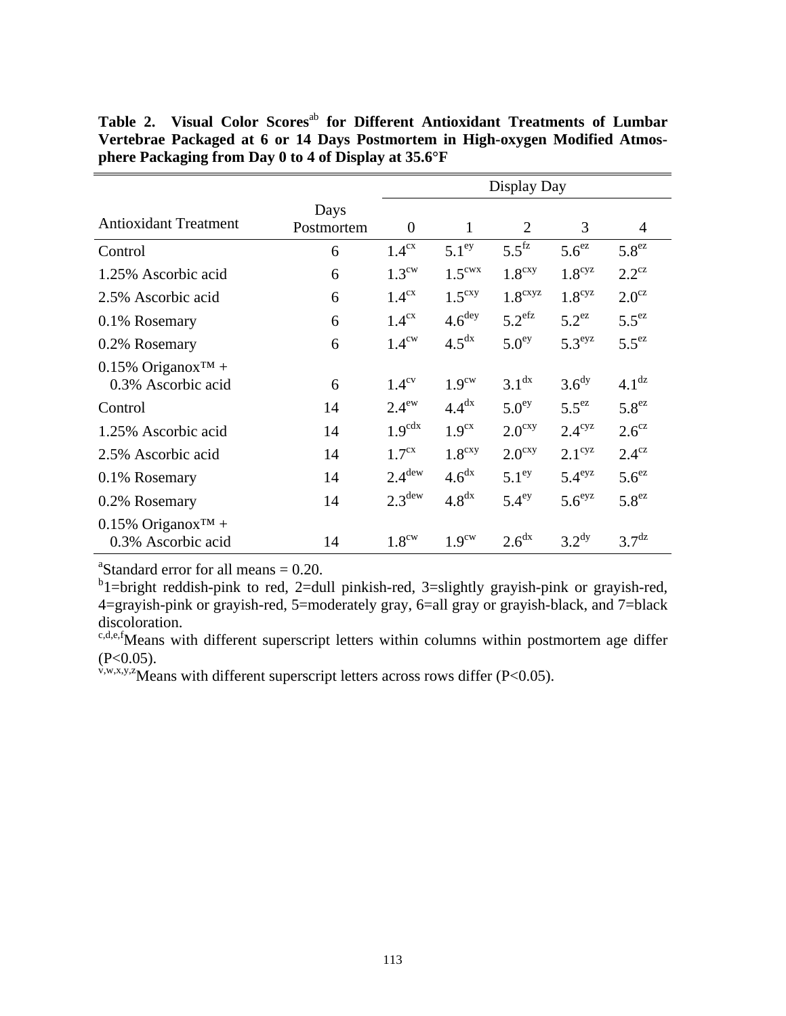|                                                         |                    | Display Day        |                    |                      |                      |                   |  |
|---------------------------------------------------------|--------------------|--------------------|--------------------|----------------------|----------------------|-------------------|--|
| <b>Antioxidant Treatment</b>                            | Days<br>Postmortem | $\theta$           | 1                  | $\overline{2}$       | 3                    | 4                 |  |
| Control                                                 | 6                  | 1.4 <sup>cx</sup>  | 5.1 <sup>ey</sup>  | $5.5$ <sup>fz</sup>  | $5.6^{ez}$           | 5.8 <sup>ez</sup> |  |
| 1.25% Ascorbic acid                                     | 6                  | $1.3^{\text{cw}}$  | $1.5^{\text{cwx}}$ | 1.8 <sup>cxy</sup>   | $1.8^{\text{cyz}}$   | $2.2^{\text{cz}}$ |  |
| 2.5% Ascorbic acid                                      | 6                  | 1.4 <sup>cx</sup>  | $1.5^{\text{cxy}}$ | $1.8^{\text{cxyz}}$  | $1.8^{\text{cyz}}$   | $2.0^\text{cz}$   |  |
| 0.1% Rosemary                                           | 6                  | 1.4 <sup>cx</sup>  | 4.6 <sup>deg</sup> | $5.2$ <sup>efz</sup> | $5.2^{ez}$           | $5.5^{ez}$        |  |
| 0.2% Rosemary                                           | 6                  | $1.4^{\text{cw}}$  | 4.5 <sup>dx</sup>  | 5.0 <sup>ey</sup>    | $5.3^{\mathrm{eyz}}$ | $5.5^{\text{ez}}$ |  |
| $0.15\%$ Origanox <sup>TM</sup> +<br>0.3% Ascorbic acid | 6                  | $1.4^\text{cv}$    | 1.9 <sup>ew</sup>  | 3.1 <sup>dx</sup>    | 3.6 <sup>dy</sup>    | 4.1 <sup>dz</sup> |  |
| Control                                                 | 14                 | $2.4^{\rm ew}$     | 4.4 <sup>dx</sup>  | 5.0 <sup>ey</sup>    | $5.5^{\text{eZ}}$    | 5.8 <sup>ez</sup> |  |
| 1.25% Ascorbic acid                                     | 14                 | $1.9^{\text{cdx}}$ | 1.9 <sup>cx</sup>  | $2.0^{\text{cxy}}$   | $2.4^{\mathrm{cyz}}$ | $2.6^\text{cz}$   |  |
| 2.5% Ascorbic acid                                      | 14                 | 1.7 <sup>cx</sup>  | 1.8 <sup>cxy</sup> | $2.0^{\text{cxy}}$   | $2.1^\text{cyz}$     | $2.4^\text{cz}$   |  |
| 0.1% Rosemary                                           | 14                 | $2.4^{\text{dew}}$ | 4.6 <sup>dx</sup>  | 5.1 <sup>ey</sup>    | $5.4^{\mathrm{eyz}}$ | $5.6^{ez}$        |  |
| 0.2% Rosemary                                           | 14                 | $2.3^{\text{dew}}$ | 4.8 <sup>dx</sup>  | $5.4^{\mathrm{ey}}$  | $5.6^{eyz}$          | 5.8 <sup>ez</sup> |  |
| $0.15\%$ Origanox <sup>TM</sup> +<br>0.3% Ascorbic acid | 14                 | 1.8 <sup>ew</sup>  | 1.9 <sup>cw</sup>  | 2.6 <sup>dx</sup>    | 3.2 <sup>dy</sup>    | 3.7 <sup>dz</sup> |  |

Table 2. Visual Color Scores<sup>ab</sup> for Different Antioxidant Treatments of Lumbar **Vertebrae Packaged at 6 or 14 Days Postmortem in High-oxygen Modified Atmosphere Packaging from Day 0 to 4 of Display at 35.6°F** 

<sup>a</sup>Standard error for all means  $= 0.20$ .

 $b^b$ 1=bright reddish-pink to red, 2=dull pinkish-red, 3=slightly grayish-pink or grayish-red, 4=grayish-pink or grayish-red, 5=moderately gray, 6=all gray or grayish-black, and 7=black discoloration.

 $c,d,e,f$ Means with different superscript letters within columns within postmortem age differ  $(P<0.05)$ .

 $v, w, x, y, z$  Means with different superscript letters across rows differ (P<0.05).